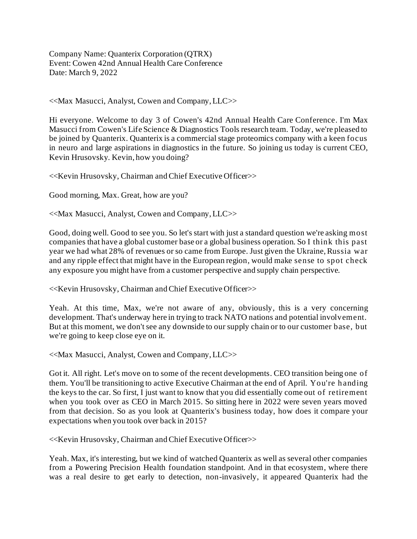Company Name: Quanterix Corporation (QTRX) Event: Cowen 42nd Annual Health Care Conference Date: March 9, 2022

<<Max Masucci, Analyst, Cowen and Company, LLC>>

Hi everyone. Welcome to day 3 of Cowen's 42nd Annual Health Care Conference. I'm Max Masucci from Cowen's Life Science & Diagnostics Tools research team. Today, we're pleased to be joined by Quanterix. Quanterix is a commercial stage proteomics company with a keen focus in neuro and large aspirations in diagnostics in the future. So joining us today is current CEO, Kevin Hrusovsky. Kevin, how you doing?

<<Kevin Hrusovsky, Chairman and Chief Executive Officer>>

Good morning, Max. Great, how are you?

<<Max Masucci, Analyst, Cowen and Company, LLC>>

Good, doing well. Good to see you. So let's start with just a standard question we're asking most companies that have a global customer base or a global business operation. So I think this past year we had what 28% of revenues or so came from Europe. Just given the Ukraine, Russia war and any ripple effect that might have in the European region, would make sense to spot check any exposure you might have from a customer perspective and supply chain perspective.

<<Kevin Hrusovsky, Chairman and Chief Executive Officer>>

Yeah. At this time, Max, we're not aware of any, obviously, this is a very concerning development. That's underway here in trying to track NATO nations and potential involvement. But at this moment, we don't see any downside to our supply chain or to our customer base, but we're going to keep close eye on it.

<<Max Masucci, Analyst, Cowen and Company, LLC>>

Got it. All right. Let's move on to some of the recent developments. CEO transition being one of them. You'll be transitioning to active Executive Chairman at the end of April. You're h anding the keys to the car. So first, I just want to know that you did essentially come out of retirement when you took over as CEO in March 2015. So sitting here in 2022 were seven years moved from that decision. So as you look at Quanterix's business today, how does it compare your expectations when you took over back in 2015?

<<Kevin Hrusovsky, Chairman and Chief Executive Officer>>

Yeah. Max, it's interesting, but we kind of watched Quanterix as well as several other companies from a Powering Precision Health foundation standpoint. And in that ecosystem, where there was a real desire to get early to detection, non-invasively, it appeared Quanterix had the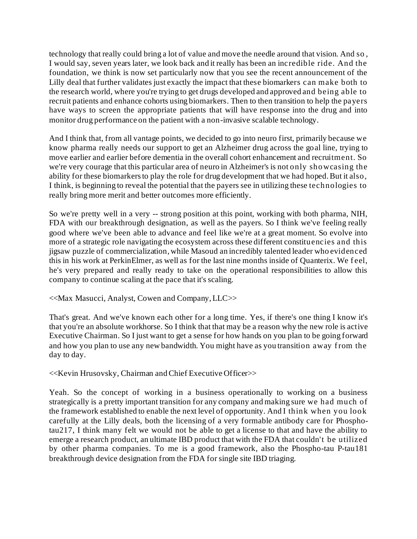technology that really could bring a lot of value and move the needle around that vision. And so , I would say, seven years later, we look back and it really has been an incredible ride. And the foundation, we think is now set particularly now that you see the recent announcement of the Lilly deal that further validates just exactly the impact that these biomarkers can make both to the research world, where you're trying to get drugs developed and approved and being able to recruit patients and enhance cohorts using biomarkers. Then to then transition to help the payers have ways to screen the appropriate patients that will have response into the drug and into monitor drug performance on the patient with a non-invasive scalable technology.

And I think that, from all vantage points, we decided to go into neuro first, primarily because we know pharma really needs our support to get an Alzheimer drug across the goal line, trying to move earlier and earlier before dementia in the overall cohort enhancement and recruitment. So we're very courage that this particular area of neuro in Alzheimer's is not only showcasing the ability for these biomarkers to play the role for drug development that we had hoped. But it also, I think, is beginning to reveal the potential that the payers see in utilizing these technologies to really bring more merit and better outcomes more efficiently.

So we're pretty well in a very -- strong position at this point, working with both pharma, NIH, FDA with our breakthrough designation, as well as the payers. So I think we've feeling really good where we've been able to advance and feel like we're at a great moment. So evolve into more of a strategic role navigating the ecosystem across these different constituencies and this jigsaw puzzle of commercialization, while Masoud an incredibly talented leader who evidenced this in his work at PerkinElmer, as well as for the last nine months inside of Quanterix. We feel, he's very prepared and really ready to take on the operational responsibilities to allow this company to continue scaling at the pace that it's scaling.

<<Max Masucci, Analyst, Cowen and Company, LLC>>

That's great. And we've known each other for a long time. Yes, if there's one thing I know it's that you're an absolute workhorse. So I think that that may be a reason why the new role is active Executive Chairman. So I just want to get a sense for how hands on you plan to be going forward and how you plan to use any new bandwidth. You might have as you transition away f rom the day to day.

<<Kevin Hrusovsky, Chairman and Chief Executive Officer>>

Yeah. So the concept of working in a business operationally to working on a business strategically is a pretty important transition for any company and making sure we had much of the framework established to enable the next level of opportunity. And I think when you look carefully at the Lilly deals, both the licensing of a very formable antibody care for Phosphotau217, I think many felt we would not be able to get a license to that and have the ability to emerge a research product, an ultimate IBD product that with the FDA that couldn't be utilized by other pharma companies. To me is a good framework, also the Phospho-tau P-tau181 breakthrough device designation from the FDA for single site IBD triaging.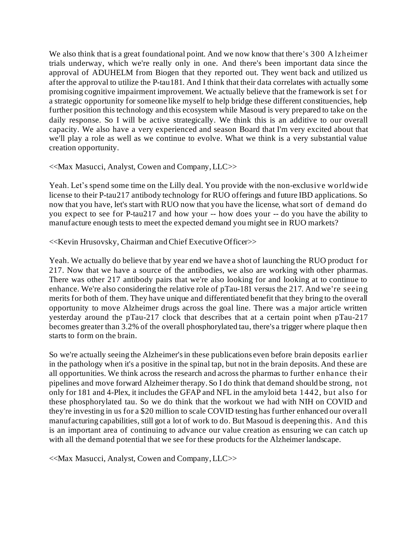We also think that is a great foundational point. And we now know that there's 300 A lzheimer trials underway, which we're really only in one. And there's been important data since the approval of ADUHELM from Biogen that they reported out. They went back and utilized us after the approval to utilize the P-tau181. And I think that their data correlates with actually some promising cognitive impairment improvement. We actually believe that the framework is set for a strategic opportunity for someone like myself to help bridge these different constituencies, help further position this technology and this ecosystem while Masoud is very prepared to take on the daily response. So I will be active strategically. We think this is an additive to our overall capacity. We also have a very experienced and season Board that I'm very excited about that we'll play a role as well as we continue to evolve. What we think is a very substantial value creation opportunity.

## <<Max Masucci, Analyst, Cowen and Company, LLC>>

Yeah. Let's spend some time on the Lilly deal. You provide with the non-exclusive world wide license to their P-tau217 antibody technology for RUO offerings and future IBD applications. So now that you have, let's start with RUO now that you have the license, what sort of demand do you expect to see for P-tau217 and how your -- how does your -- do you have the ability to manufacture enough tests to meet the expected demand you might see in RUO markets?

## <<Kevin Hrusovsky, Chairman and Chief Executive Officer>>

Yeah. We actually do believe that by year end we have a shot of launching the RUO product for 217. Now that we have a source of the antibodies, we also are working with other pharmas. There was other 217 antibody pairs that we're also looking for and looking at to continue to enhance. We're also considering the relative role of pTau-181 versus the 217. And we're seeing merits for both of them. They have unique and differentiated benefit that they bring to the overall opportunity to move Alzheimer drugs across the goal line. There was a major article written yesterday around the pTau-217 clock that describes that at a certain point when pTau-217 becomes greater than 3.2% of the overall phosphorylated tau, there's a trigger where plaque then starts to form on the brain.

So we're actually seeing the Alzheimer's in these publications even before brain deposits earlier in the pathology when it's a positive in the spinal tap, but not in the brain deposits. And these are all opportunities. We think across the research and across the pharmas to further enhance their pipelines and move forward Alzheimer therapy. So I do think that demand should be strong, not only for 181 and 4-Plex, it includes the GFAP and NFL in the amyloid beta 1442, but also for these phosphorylated tau. So we do think that the workout we had with NIH on COVID and they're investing in us for a \$20 million to scale COVID testing has further enhanced our overall manufacturing capabilities, still got a lot of work to do. But Masoud is deepening this. And this is an important area of continuing to advance our value creation as ensuring we can catch up with all the demand potential that we see for these products for the Alzheimer landscape.

<<Max Masucci, Analyst, Cowen and Company, LLC>>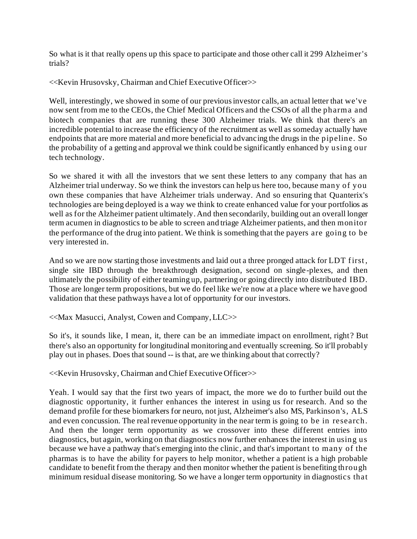So what is it that really opens up this space to participate and those other call it 299 Alzheimer's trials?

<<Kevin Hrusovsky, Chairman and Chief Executive Officer>>

Well, interestingly, we showed in some of our previous investor calls, an actual letter that we've now sent from me to the CEOs, the Chief Medical Officers and the CSOs of all the pharma and biotech companies that are running these 300 Alzheimer trials. We think that there's an incredible potential to increase the efficiency of the recruitment as well as someday actually have endpoints that are more material and more beneficial to advancing the drugs in the pipeline. So the probability of a getting and approval we think could be significantly enhanced by using our tech technology.

So we shared it with all the investors that we sent these letters to any company that has an Alzheimer trial underway. So we think the investors can help us here too, because many of you own these companies that have Alzheimer trials underway. And so ensuring that Quanterix's technologies are being deployed is a way we think to create enhanced value for your portfolios as well as for the Alzheimer patient ultimately. And then secondarily, building out an overall longer term acumen in diagnostics to be able to screen and triage Alzheimer patients, and then monitor the performance of the drug into patient. We think is something that the payers are going to be very interested in.

And so we are now starting those investments and laid out a three pronged attack for LDT first, single site IBD through the breakthrough designation, second on single-plexes, and then ultimately the possibility of either teaming up, partnering or going directly into distributed IBD. Those are longer term propositions, but we do feel like we're now at a place where we have good validation that these pathways have a lot of opportunity for our investors.

<<Max Masucci, Analyst, Cowen and Company, LLC>>

So it's, it sounds like, I mean, it, there can be an immediate impact on enrollment, right? But there's also an opportunity for longitudinal monitoring and eventually screening. So it'll probably play out in phases. Does that sound -- is that, are we thinking about that correctly?

<<Kevin Hrusovsky, Chairman and Chief Executive Officer>>

Yeah. I would say that the first two years of impact, the more we do to further build out the diagnostic opportunity, it further enhances the interest in using us for research. And so the demand profile for these biomarkers for neuro, not just, Alzheimer's also MS, Parkinson's, ALS and even concussion. The real revenue opportunity in the near term is going to be in research. And then the longer term opportunity as we crossover into these different entries into diagnostics, but again, working on that diagnostics now further enhances the interest in using us because we have a pathway that's emerging into the clinic, and that's important to many of the pharmas is to have the ability for payers to help monitor, whether a patient is a high probable candidate to benefit from the therapy and then monitor whether the patient is benefiting through minimum residual disease monitoring. So we have a longer term opportunity in diagnostics that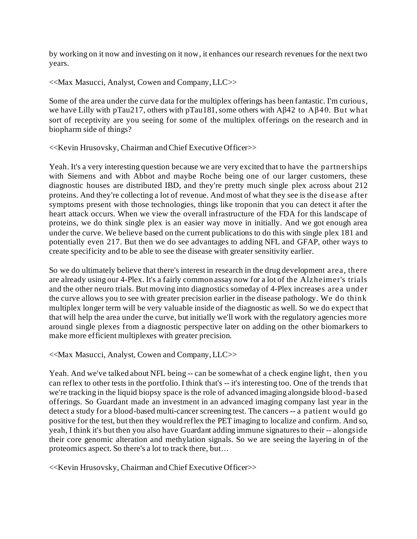by working on it now and investing on it now, it enhances our research revenues for the next two years.

<<Max Masucci, Analyst, Cowen and Company, LLC>>

Some of the area under the curve data for the multiplex offerings has been fantastic. I'm curious, we have Lilly with pTau217, others with pTau181, some others with Aβ42 to Aβ40. But what sort of receptivity are you seeing for some of the multiplex offerings on the research and in biopharm side of things?

<<Kevin Hrusovsky, Chairman and Chief Executive Officer>>

Yeah. It's a very interesting question because we are very excited that to have the partnerships with Siemens and with Abbot and maybe Roche being one of our larger customers, these diagnostic houses are distributed IBD, and they're pretty much single plex across about 212 proteins. And they're collecting a lot of revenue. And most of what they see is the disease after symptoms present with those technologies, things like troponin that you can detect it after the heart attack occurs. When we view the overall infrastructure of the FDA for this landscape of proteins, we do think single plex is an easier way move in initially. And we got enough area under the curve. We believe based on the current publications to do this with single plex 181 and potentially even 217. But then we do see advantages to adding NFL and GFAP, other ways to create specificity and to be able to see the disease with greater sensitivity earlier.

So we do ultimately believe that there's interest in research in the drug development area, there are already using our 4-Plex. It's a fairly common assay now for a lot of the Alzheimer's trials and the other neuro trials. But moving into diagnostics someday of 4-Plex increases area under the curve allows you to see with greater precision earlier in the disease pathology. We do think multiplex longer term will be very valuable inside of the diagnostic as well. So we do expect that that will help the area under the curve, but initially we'll work with the regulatory agencies more around single plexes from a diagnostic perspective later on adding on the other biomarkers to make more efficient multiplexes with greater precision.

<<Max Masucci, Analyst, Cowen and Company, LLC>>

Yeah. And we've talked about NFL being -- can be somewhat of a check engine light, then you can reflex to other tests in the portfolio. I think that's -- it's interesting too. One of the trends that we're tracking in the liquid biopsy space is the role of advanced imaging alongside blood-based offerings. So Guardant made an investment in an advanced imaging company last year in the detect a study for a blood-based multi-cancer screening test. The cancers -- a patient would go positive for the test, but then they would reflex the PET imaging to localize and confirm. And so, yeah, I think it's but then you also have Guardant adding immune signatures to their -- alongside their core genomic alteration and methylation signals. So we are seeing the layering in of the proteomics aspect. So there's a lot to track there, but…

<<Kevin Hrusovsky, Chairman and Chief Executive Officer>>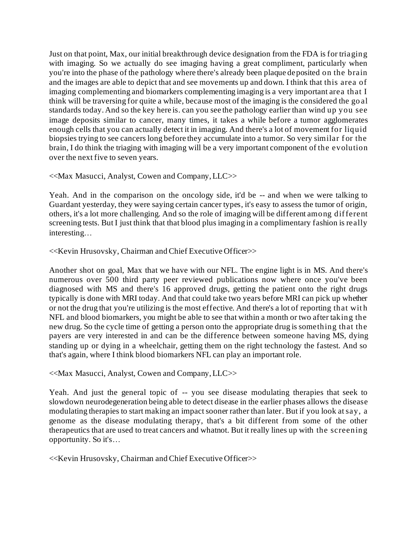Just on that point, Max, our initial breakthrough device designation from the FDA is for triaging with imaging. So we actually do see imaging having a great compliment, particularly when you're into the phase of the pathology where there's already been plaque deposited on the brain and the images are able to depict that and see movements up and down. I think that this area of imaging complementing and biomarkers complementing imaging is a very important area that I think will be traversing for quite a while, because most of the imaging is the considered the go al standards today. And so the key here is. can you see the pathology earlier than wind up you see image deposits similar to cancer, many times, it takes a while before a tumor agglomerates enough cells that you can actually detect it in imaging. And there's a lot of movement for liquid biopsies trying to see cancers long before they accumulate into a tumor. So very similar for the brain, I do think the triaging with imaging will be a very important component of the evolution over the next five to seven years.

## <<Max Masucci, Analyst, Cowen and Company, LLC>>

Yeah. And in the comparison on the oncology side, it'd be -- and when we were talking to Guardant yesterday, they were saying certain cancer types, it's easy to assess the tumor of origin, others, it's a lot more challenging. And so the role of imaging will be different among dif ferent screening tests. But I just think that that blood plus imaging in a complimentary fashion is really interesting…

## <<Kevin Hrusovsky, Chairman and Chief Executive Officer>>

Another shot on goal, Max that we have with our NFL. The engine light is in MS. And there's numerous over 500 third party peer reviewed publications now where once you've been diagnosed with MS and there's 16 approved drugs, getting the patient onto the right drugs typically is done with MRI today. And that could take two years before MRI can pick up whether or not the drug that you're utilizing is the most effective. And there's a lot of reporting that wit h NFL and blood biomarkers, you might be able to see that within a month or two after taking the new drug. So the cycle time of getting a person onto the appropriate drug is something that the payers are very interested in and can be the difference between someone having MS, dying standing up or dying in a wheelchair, getting them on the right technology the fastest. And so that's again, where I think blood biomarkers NFL can play an important role.

# <<Max Masucci, Analyst, Cowen and Company, LLC>>

Yeah. And just the general topic of -- you see disease modulating therapies that seek to slowdown neurodegeneration being able to detect disease in the earlier phases allows the disease modulating therapies to start making an impact sooner rather than later. But if you look at say, a genome as the disease modulating therapy, that's a bit different from some of the other therapeutics that are used to treat cancers and whatnot. But it really lines up with the screening opportunity. So it's…

<<Kevin Hrusovsky, Chairman and Chief Executive Officer>>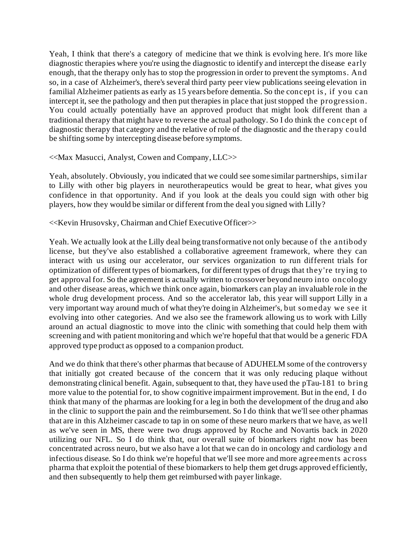Yeah, I think that there's a category of medicine that we think is evolving here. It's more like diagnostic therapies where you're using the diagnostic to identify and intercept the disease early enough, that the therapy only has to stop the progression in order to prevent the symptoms. And so, in a case of Alzheimer's, there's several third party peer view publications seeing elevation in familial Alzheimer patients as early as 15 years before dementia. So the concept is, if you can intercept it, see the pathology and then put therapies in place that just stopped the progression. You could actually potentially have an approved product that might look different than a traditional therapy that might have to reverse the actual pathology. So I do think the concept of diagnostic therapy that category and the relative of role of the diagnostic and the therapy could be shifting some by intercepting disease before symptoms.

## <<Max Masucci, Analyst, Cowen and Company, LLC>>

Yeah, absolutely. Obviously, you indicated that we could see some similar partnerships, similar to Lilly with other big players in neurotherapeutics would be great to hear, what gives you confidence in that opportunity. And if you look at the deals you could sign with other big players, how they would be similar or different from the deal you signed with Lilly?

## <<Kevin Hrusovsky, Chairman and Chief Executive Officer>>

Yeah. We actually look at the Lilly deal being transformative not only because of the antibody license, but they've also established a collaborative agreement framework, where they can interact with us using our accelerator, our services organization to run different trials for optimization of different types of biomarkers, for different types of drugs that they're trying to get approval for. So the agreement is actually written to crossover beyond neuro into oncology and other disease areas, which we think once again, biomarkers can play an invaluable role in the whole drug development process. And so the accelerator lab, this year will support Lilly in a very important way around much of what they're doing in Alzheimer's, but someday we see it evolving into other categories. And we also see the framework allowing us to work with Lilly around an actual diagnostic to move into the clinic with something that could help them with screening and with patient monitoring and which we're hopeful that that would be a generic FDA approved type product as opposed to a companion product.

And we do think that there's other pharmas that because of ADUHELM some of the controversy that initially got created because of the concern that it was only reducing plaque without demonstrating clinical benefit. Again, subsequent to that, they have used the pTau-181 to bring more value to the potential for, to show cognitive impairment improvement. But in the end, I do think that many of the pharmas are looking for a leg in both the development of the drug and also in the clinic to support the pain and the reimbursement. So I do think that we'll see other pharmas that are in this Alzheimer cascade to tap in on some of these neuro markers that we have, as well as we've seen in MS, there were two drugs approved by Roche and Novartis back in 2020 utilizing our NFL. So I do think that, our overall suite of biomarkers right now has been concentrated across neuro, but we also have a lot that we can do in oncology and cardiology and infectious disease. So I do think we're hopeful that we'll see more and more agreements across pharma that exploit the potential of these biomarkers to help them get drugs approved efficiently, and then subsequently to help them get reimbursed with payer linkage.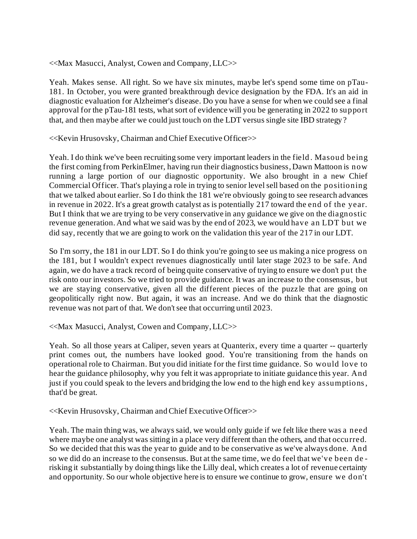<<Max Masucci, Analyst, Cowen and Company, LLC>>

Yeah. Makes sense. All right. So we have six minutes, maybe let's spend some time on pTau-181. In October, you were granted breakthrough device designation by the FDA. It's an aid in diagnostic evaluation for Alzheimer's disease. Do you have a sense for when we could see a final approval for the pTau-181 tests, what sort of evidence will you be generating in 2022 to support that, and then maybe after we could just touch on the LDT versus single site IBD strategy?

<<Kevin Hrusovsky, Chairman and Chief Executive Officer>>

Yeah. I do think we've been recruiting some very important leaders in the field . Masoud being the first coming from PerkinElmer, having run their diagnostics business, Dawn Mattoon is now running a large portion of our diagnostic opportunity. We also brought in a new Chief Commercial Officer. That's playing a role in trying to senior level sell based on the positioning that we talked about earlier. So I do think the 181 we're obviously going to see research advances in revenue in 2022. It's a great growth catalyst as is potentially 217 toward the end of the year. But I think that we are trying to be very conservative in any guidance we give on the diagnostic revenue generation. And what we said was by the end of 2023, we would have an LDT but we did say, recently that we are going to work on the validation this year of the 217 in our LDT.

So I'm sorry, the 181 in our LDT. So I do think you're going to see us making a nice progress on the 181, but I wouldn't expect revenues diagnostically until later stage 2023 to be safe. And again, we do have a track record of being quite conservative of trying to ensure we don't put the risk onto our investors. So we tried to provide guidance. It was an increase to the consensus, but we are staying conservative, given all the different pieces of the puzzle that are going on geopolitically right now. But again, it was an increase. And we do think that the diagnostic revenue was not part of that. We don't see that occurring until 2023.

<<Max Masucci, Analyst, Cowen and Company, LLC>>

Yeah. So all those years at Caliper, seven years at Quanterix, every time a quarter -- quarterly print comes out, the numbers have looked good. You're transitioning from the hands on operational role to Chairman. But you did initiate for the first time guidance. So would love to hear the guidance philosophy, why you felt it was appropriate to initiate guidance this year. And just if you could speak to the levers and bridging the low end to the high end key assumptions, that'd be great.

<<Kevin Hrusovsky, Chairman and Chief Executive Officer>>

Yeah. The main thing was, we always said, we would only guide if we felt like there was a need where maybe one analyst was sitting in a place very different than the others, and that occurred. So we decided that this was the year to guide and to be conservative as we've always done. And so we did do an increase to the consensus. But at the same time, we do feel that we've been de risking it substantially by doing things like the Lilly deal, which creates a lot of revenue certainty and opportunity. So our whole objective here is to ensure we continue to grow, ensure we don't